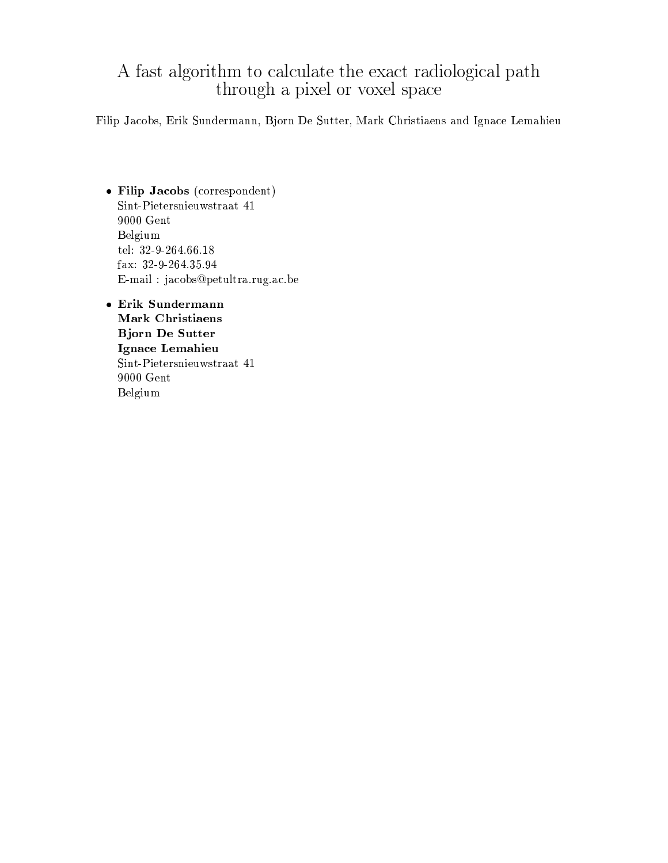# $\,$  A fast algorithm to calculate the exact radio<br>logical path through a pixel or voxel space

Filip Jacobs, Erik Sundermann, Bjorn De Sutter, Mark Christiaens and Ignace Lemahieu

- Filip Jacobs (correspondent) Sint-Pietersnieuwstraat 41  $9000$  Gent Belgium tel: 32-9-264.66.18 fax: 32-9-264.35.94 E-mail: jacobs@petultra.rug.ac.be
- Erik Sundermann Mark Christiaens **Bjorn De Sutter** Ignace Lemahieu  $\text{Sint-Pietersn}$ ieuwstraat $41$  $9000\,\,\mathrm{Gent}$ Belgium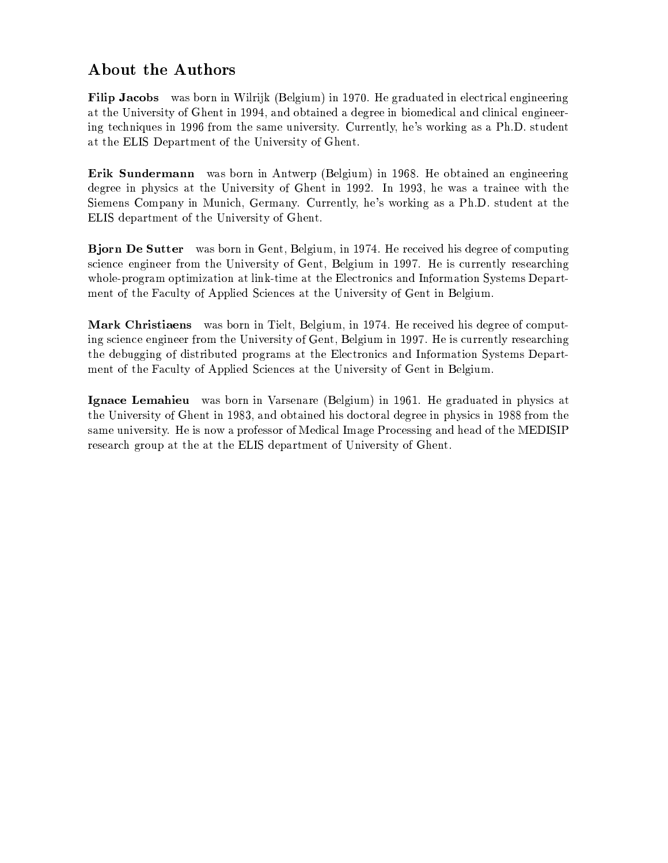## About the Authors

**Filip Jacobs** was born in Wilrijk (Belgium) in 1970. He graduated in electrical engineering at the University of Ghent in 1994, and obtained a degree in biomedical and clinical engineering techniques in 1996 from the same university. Currently, he's working as a Ph.D. student at the ELIS Department of the University of Ghent.

Erik Sundermann was born in Antwerp (Belgium) in 1968. He obtained an engineering degree in physics at the University of Ghent in 1992. In 1993, he was a trainee with the Siemens Company in Munich, Germany. Currently, he's working as a Ph.D. student at the ELIS department of the University of Ghent.

Bjorn De Sutter was born in Gent, Belgium, in 1974. He received his degree of computing science engineer from the University of Gent, Belgium in 1997. He is currently researching whole-program optimization at link-time at the Electronics and Information Systems Department of the Faculty of Applied Sciences at the University of Gent in Belgium.

**Mark Christiaens** was born in Tielt, Belgium, in 1974. He received his degree of computing science engineer from the University of Gent, Belgium in 1997. He is currently researching the debugging of distributed programs at the Electronics and Information Systems Department of the Faculty of Applied Sciences at the University of Gent in Belgium.

Ignace Lemahieu was born in Varsenare (Belgium) in 1961. He graduated in physics at the University of Ghent in 1983, and obtained his doctoral degree in physics in 1988 from the same university. He is now a professor of Medical Image Processing and head of the MEDISIP research group at the at the ELIS department of University of Ghent.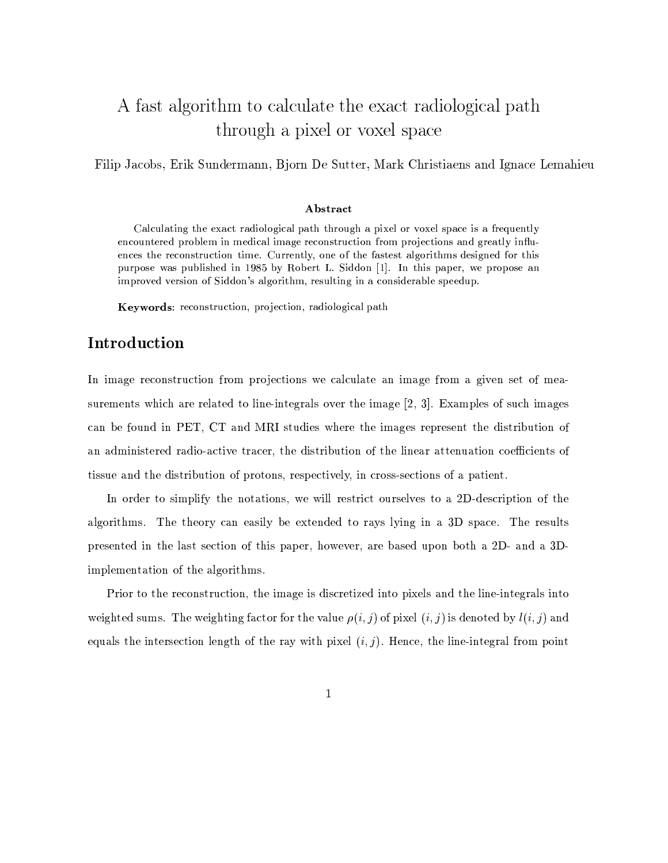## A fast algorithm to calculate the exact radiological path through a pixel or voxel space

Filip Jacobs, Erik Sundermann, Bjorn De Sutter, Mark Christiaens and Ignace Lemahieu

#### Abstract

Calculating the exact radiological path through a pixel or voxel space is a frequently encountered problem in medical image reconstruction from projections and greatly influences the reconstruction time. Currently, one of the fastest algorithms designed for this purpose was published in 1985 by Robert L. Siddon [1]. In this paper, we propose an improved version of Siddon's algorithm, resulting in a considerable speedup.

**Keywords:** reconstruction, projection, radiological path

#### Introduction

In image reconstruction from projections we calculate an image from a given set of measurements which are related to line-integrals over the image [2, 3]. Examples of such images can be found in PET, CT and MRI studies where the images represent the distribution of an administered radio-active tracer, the distribution of the linear attenuation coefficients of tissue and the distribution of protons, respectively, in cross-sections of a patient.

In order to simplify the notations, we will restrict ourselves to a 2D-description of the algorithms. The theory can easily be extended to rays lying in a 3D space. The results presented in the last section of this paper, however, are based upon both a 2D- and a 3Dimplementation of the algorithms.

Prior to the reconstruction, the image is discretized into pixels and the line-integrals into weighted sums. The weighting factor for the value  $\rho(i, j)$  of pixel  $(i, j)$  is denoted by  $l(i, j)$  and equals the intersection length of the ray with pixel  $(i, j)$ . Hence, the line-integral from point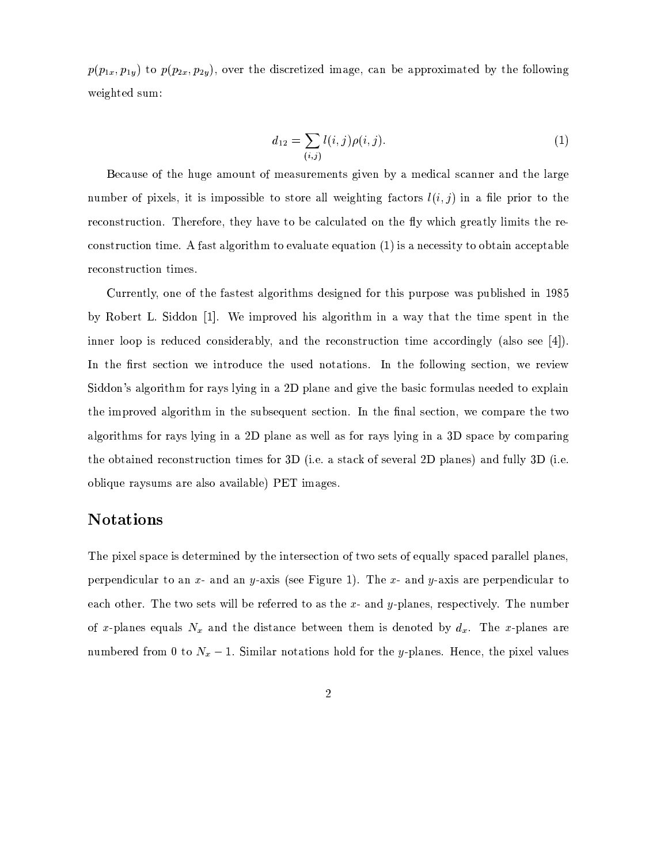$p(p_{1x}, p_{1y})$  to  $p(p_{2x}, p_{2y})$ , over the discretized image, can be approximated by the following weighted sum:

$$
d_{12} = \sum_{(i,j)} l(i,j)\rho(i,j).
$$
 (1)

Because of the huge amount of measurements given by a medical scanner and the large number of pixels, it is impossible to store all weighting factors  $l(i, j)$  in a file prior to the reconstruction. Therefore, they have to be calculated on the fly which greatly limits the reconstruction time. A fast algorithm to evaluate equation  $(1)$  is a necessity to obtain acceptable reconstruction times.

Currently, one of the fastest algorithms designed for this purpose was published in 1985 by Robert L. Siddon [1]. We improved his algorithm in a way that the time spent in the inner loop is reduced considerably, and the reconstruction time accordingly (also see  $[4]$ ). In the first section we introduce the used notations. In the following section, we review Siddon's algorithm for rays lying in a 2D plane and give the basic formulas needed to explain the improved algorithm in the subsequent section. In the final section, we compare the two algorithms for rays lying in a 2D plane as well as for rays lying in a 3D space by comparing the obtained reconstruction times for 3D (i.e. a stack of several 2D planes) and fully 3D (i.e. oblique raysums are also available) PET images.

## **Notations**

The pixel space is determined by the intersection of two sets of equally spaced parallel planes, perpendicular to an  $x$ - and an  $y$ -axis (see Figure 1). The  $x$ - and  $y$ -axis are perpendicular to each other. The two sets will be referred to as the  $x$ - and  $y$ -planes, respectively. The number of x-planes equals  $N_x$  and the distance between them is denoted by  $d_x$ . The x-planes are numbered from 0 to  $N_x - 1$ . Similar notations hold for the y-planes. Hence, the pixel values

 $\boldsymbol{2}$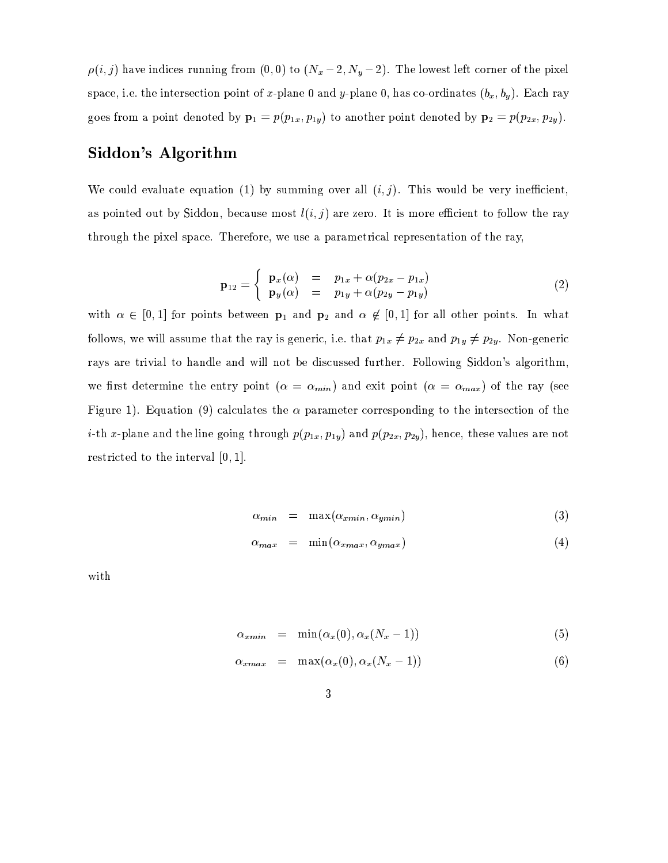$\rho(i, j)$  have indices running from  $(0, 0)$  to  $(N_x - 2, N_y - 2)$ . The lowest left corner of the pixel space, i.e. the intersection point of x-plane 0 and y-plane 0, has co-ordinates  $(b_x, b_y)$ . Each ray goes from a point denoted by  $\mathbf{p}_1 = p(p_{1x}, p_{1y})$  to another point denoted by  $\mathbf{p}_2 = p(p_{2x}, p_{2y})$ .

### Siddon's Algorithm

We could evaluate equation (1) by summing over all  $(i, j)$ . This would be very inefficient, as pointed out by Siddon, because most  $l(i, j)$  are zero. It is more efficient to follow the ray through the pixel space. Therefore, we use a parametrical representation of the ray,

$$
\mathbf{p}_{12} = \begin{cases} \mathbf{p}_x(\alpha) &= p_{1x} + \alpha (p_{2x} - p_{1x}) \\ \mathbf{p}_y(\alpha) &= p_{1y} + \alpha (p_{2y} - p_{1y}) \end{cases} \tag{2}
$$

with  $\alpha \in [0,1]$  for points between  $p_1$  and  $p_2$  and  $\alpha \notin [0,1]$  for all other points. In what follows, we will assume that the ray is generic, i.e. that  $p_{1x} \neq p_{2x}$  and  $p_{1y} \neq p_{2y}$ . Non-generic rays are trivial to handle and will not be discussed further. Following Siddon's algorithm, we first determine the entry point ( $\alpha = \alpha_{min}$ ) and exit point ( $\alpha = \alpha_{max}$ ) of the ray (see Figure 1). Equation (9) calculates the  $\alpha$  parameter corresponding to the intersection of the *i*-th x-plane and the line going through  $p(p_{1x}, p_{1y})$  and  $p(p_{2x}, p_{2y})$ , hence, these values are not restricted to the interval  $[0, 1]$ .

$$
\alpha_{min} = \max(\alpha_{xmin}, \alpha_{ymin}) \tag{3}
$$

$$
\alpha_{max} = \min(\alpha_{xmax}, \alpha_{ymax}) \tag{4}
$$

with

$$
\alpha_{xmin} = \min(\alpha_x(0), \alpha_x(N_x - 1)) \tag{5}
$$

$$
\alpha_{xmax} = \max(\alpha_x(0), \alpha_x(N_x - 1)) \tag{6}
$$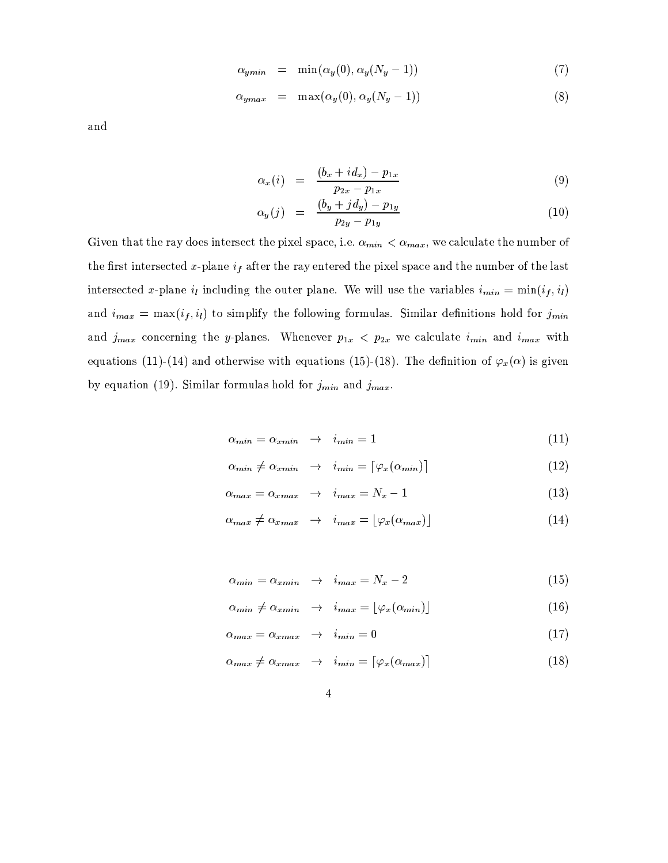$$
\alpha_{ymin} = \min(\alpha_y(0), \alpha_y(N_y - 1)) \tag{7}
$$

$$
\alpha_{ymax} = \max(\alpha_y(0), \alpha_y(N_y - 1)) \tag{8}
$$

and

$$
\alpha_x(i) = \frac{(b_x + id_x) - p_{1x}}{p_{2x} - p_{1x}} \tag{9}
$$

$$
\alpha_y(j) = \frac{(b_y + j d_y) - p_{1y}}{p_{2y} - p_{1y}} \tag{10}
$$

Given that the ray does intersect the pixel space, i.e.  $\alpha_{min} < \alpha_{max}$ , we calculate the number of the first intersected x-plane  $i_f$  after the ray entered the pixel space and the number of the last intersected x-plane  $i_l$  including the outer plane. We will use the variables  $i_{min} = min(i_f, i_l)$ and  $i_{max} = max(i_f, i_l)$  to simplify the following formulas. Similar definitions hold for  $j_{min}$ and  $j_{max}$  concerning the y-planes. Whenever  $p_{1x}$  <  $p_{2x}$  we calculate  $i_{min}$  and  $i_{max}$  with equations (11)-(14) and otherwise with equations (15)-(18). The definition of  $\varphi_x(\alpha)$  is given by equation (19). Similar formulas hold for  $j_{min}$  and  $j_{max}$ .

$$
\alpha_{min} = \alpha_{xmin} \rightarrow i_{min} = 1 \tag{11}
$$

$$
\alpha_{\min} \neq \alpha_{\min} \quad \to \quad i_{\min} = \lceil \varphi_x(\alpha_{\min}) \rceil \tag{12}
$$

$$
\alpha_{max} = \alpha_{xmax} \rightarrow i_{max} = N_x - 1 \tag{13}
$$

$$
\alpha_{max} \neq \alpha_{xmax} \rightarrow i_{max} = \lfloor \varphi_x(\alpha_{max}) \rfloor \tag{14}
$$

$$
\alpha_{min} = \alpha_{xmin} \rightarrow i_{max} = N_x - 2 \tag{15}
$$

$$
\alpha_{\min} \neq \alpha_{\min} \rightarrow i_{\max} = \lfloor \varphi_x(\alpha_{\min}) \rfloor \tag{16}
$$

$$
\alpha_{max} = \alpha_{xmax} \quad \to \quad i_{min} = 0 \tag{17}
$$

$$
\alpha_{max} \neq \alpha_{xmax} \rightarrow i_{min} = \lceil \varphi_x(\alpha_{max}) \rceil \tag{18}
$$

 $\overline{\mathbf{4}}$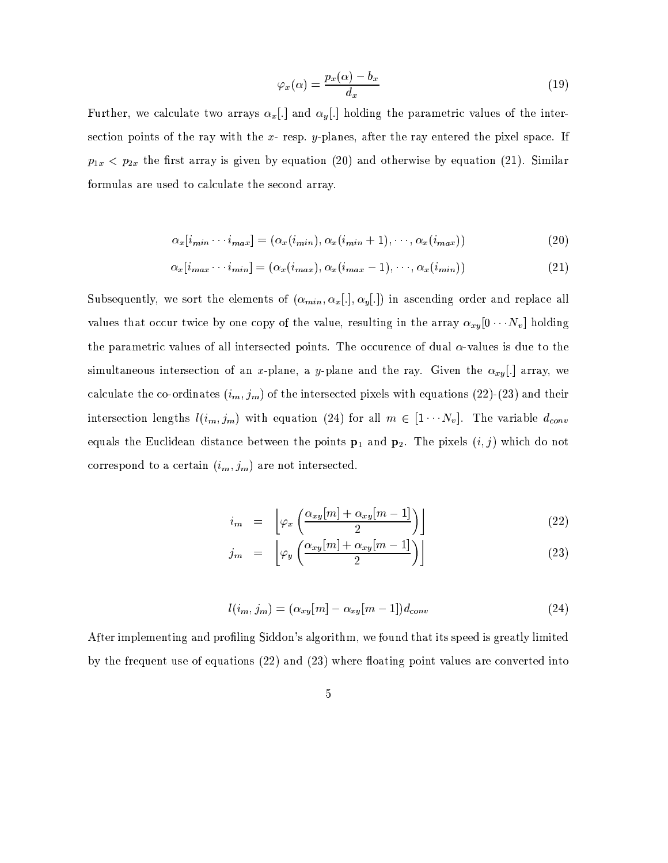$$
\varphi_x(\alpha) = \frac{p_x(\alpha) - b_x}{d_x} \tag{19}
$$

Further, we calculate two arrays  $\alpha_x$ [.] and  $\alpha_y$ [.] holding the parametric values of the intersection points of the ray with the  $x$ - resp.  $y$ -planes, after the ray entered the pixel space. If  $p_{1x}$  <  $p_{2x}$  the first array is given by equation (20) and otherwise by equation (21). Similar formulas are used to calculate the second array.

$$
\alpha_x[i_{min} \cdots i_{max}] = (\alpha_x(i_{min}), \alpha_x(i_{min}+1), \cdots, \alpha_x(i_{max}))
$$
\n(20)

$$
\alpha_x[i_{max} \cdots i_{min}] = (\alpha_x(i_{max}), \alpha_x(i_{max} - 1), \cdots, \alpha_x(i_{min}))
$$
\n(21)

Subsequently, we sort the elements of  $(\alpha_{min}, \alpha_x[.] , \alpha_y[.] )$  in ascending order and replace all values that occur twice by one copy of the value, resulting in the array  $\alpha_{xy}[0 \cdots N_v]$  holding the parametric values of all intersected points. The occurence of dual  $\alpha$ -values is due to the simultaneous intersection of an x-plane, a y-plane and the ray. Given the  $\alpha_{xy}$ [.] array, we calculate the co-ordinates  $(i_m, j_m)$  of the intersected pixels with equations (22)-(23) and their intersection lengths  $l(i_m, j_m)$  with equation (24) for all  $m \in [1 \cdots N_v]$ . The variable  $d_{conv}$ equals the Euclidean distance between the points  $\mathbf{p}_1$  and  $\mathbf{p}_2$ . The pixels  $(i, j)$  which do not correspond to a certain  $(i_m, j_m)$  are not intersected.

$$
i_m = \left[ \varphi_x \left( \frac{\alpha_{xy}[m] + \alpha_{xy}[m-1]}{2} \right) \right] \tag{22}
$$

$$
j_m = \left[ \varphi_y \left( \frac{\alpha_{xy}[m] + \alpha_{xy}[m-1]}{2} \right) \right] \tag{23}
$$

$$
l(i_m, j_m) = (\alpha_{xy}[m] - \alpha_{xy}[m-1])d_{conv}
$$
\n(24)

After implementing and profiling Siddon's algorithm, we found that its speed is greatly limited by the frequent use of equations  $(22)$  and  $(23)$  where floating point values are converted into

$$
\overline{5}
$$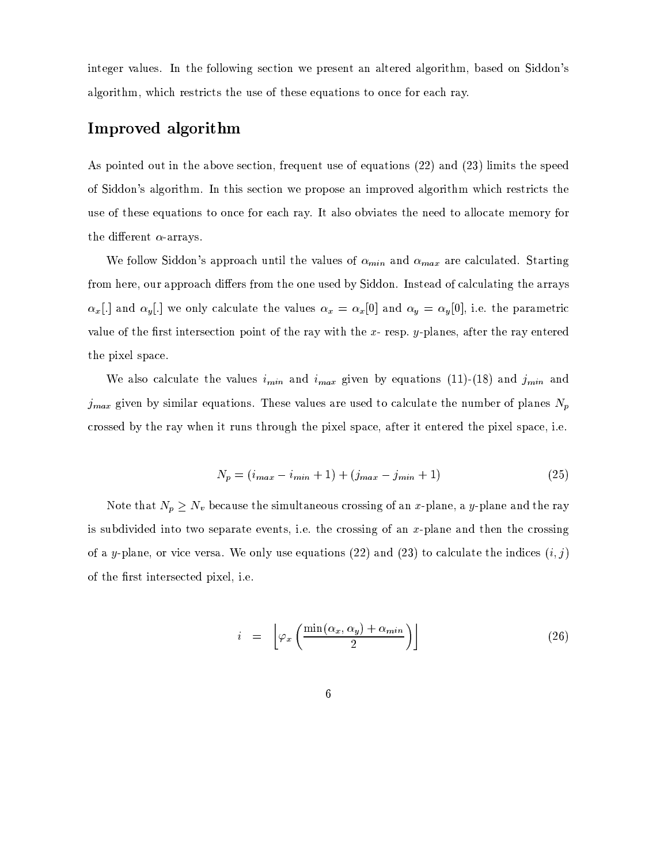integer values. In the following section we present an altered algorithm, based on Siddon's algorithm, which restricts the use of these equations to once for each ray.

## Improved algorithm

As pointed out in the above section, frequent use of equations (22) and (23) limits the speed of Siddon's algorithm. In this section we propose an improved algorithm which restricts the use of these equations to once for each ray. It also obviates the need to allocate memory for the different  $\alpha$ -arrays.

We follow Siddon's approach until the values of  $\alpha_{min}$  and  $\alpha_{max}$  are calculated. Starting from here, our approach differs from the one used by Siddon. Instead of calculating the arrays  $\alpha_x$ [.] and  $\alpha_y$ [.] we only calculate the values  $\alpha_x = \alpha_x[0]$  and  $\alpha_y = \alpha_y[0]$ , i.e. the parametric value of the first intersection point of the ray with the  $x$ -resp.  $y$ -planes, after the ray entered the pixel space.

We also calculate the values  $i_{min}$  and  $i_{max}$  given by equations (11)-(18) and  $j_{min}$  and  $j_{max}$  given by similar equations. These values are used to calculate the number of planes  $N_p$ crossed by the ray when it runs through the pixel space, after it entered the pixel space, i.e.

$$
N_p = (i_{max} - i_{min} + 1) + (j_{max} - j_{min} + 1)
$$
\n(25)

Note that  $N_p \geq N_v$  because the simultaneous crossing of an x-plane, a y-plane and the ray is subdivided into two separate events, i.e. the crossing of an  $x$ -plane and then the crossing of a y-plane, or vice versa. We only use equations (22) and (23) to calculate the indices  $(i, j)$ of the first intersected pixel, i.e.

$$
i = \left[ \varphi_x \left( \frac{\min(\alpha_x, \alpha_y) + \alpha_{min}}{2} \right) \right]
$$
 (26)

 $\boldsymbol{6}$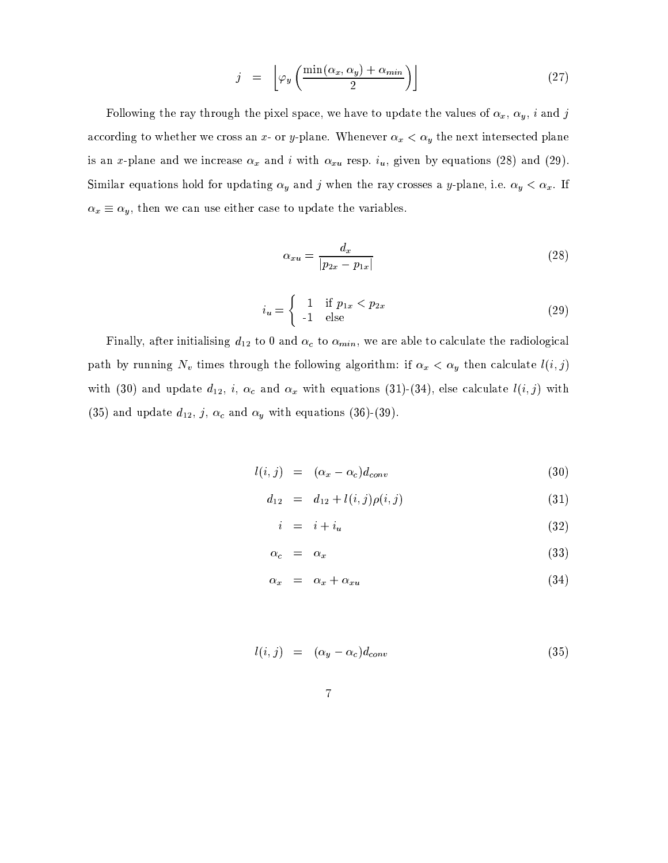$$
j = \left[ \varphi_y \left( \frac{\min(\alpha_x, \alpha_y) + \alpha_{min}}{2} \right) \right]
$$
 (27)

Following the ray through the pixel space, we have to update the values of  $\alpha_x$ ,  $\alpha_y$ , *i* and *j* according to whether we cross an x- or y-plane. Whenever  $\alpha_x < \alpha_y$  the next intersected plane is an x-plane and we increase  $\alpha_x$  and i with  $\alpha_{xu}$  resp.  $i_u$ , given by equations (28) and (29). Similar equations hold for updating  $\alpha_y$  and j when the ray crosses a y-plane, i.e.  $\alpha_y < \alpha_x$ . If  $\alpha_x \equiv \alpha_y$ , then we can use either case to update the variables.

$$
\alpha_{xu} = \frac{d_x}{|p_{2x} - p_{1x}|}\tag{28}
$$

$$
i_u = \begin{cases} 1 & \text{if } p_{1x} < p_{2x} \\ -1 & \text{else} \end{cases} \tag{29}
$$

Finally, after initialising  $d_{12}$  to 0 and  $\alpha_c$  to  $\alpha_{min}$ , we are able to calculate the radiological path by running  $N_v$  times through the following algorithm: if  $\alpha_x < \alpha_y$  then calculate  $l(i, j)$ with (30) and update  $d_{12}$ , i,  $\alpha_c$  and  $\alpha_x$  with equations (31)-(34), else calculate  $l(i, j)$  with (35) and update  $d_{12}$ , j,  $\alpha_c$  and  $\alpha_y$  with equations (36)-(39).

$$
l(i,j) = (\alpha_x - \alpha_c)d_{conv}
$$
\n(30)

$$
d_{12} = d_{12} + l(i, j)\rho(i, j) \tag{31}
$$

$$
i = i + i_u \tag{32}
$$

$$
\alpha_c = \alpha_x \tag{33}
$$

$$
\alpha_x = \alpha_x + \alpha_{xu} \tag{34}
$$

$$
l(i,j) = (\alpha_y - \alpha_c) d_{conv} \tag{35}
$$

$$
\overline{7}
$$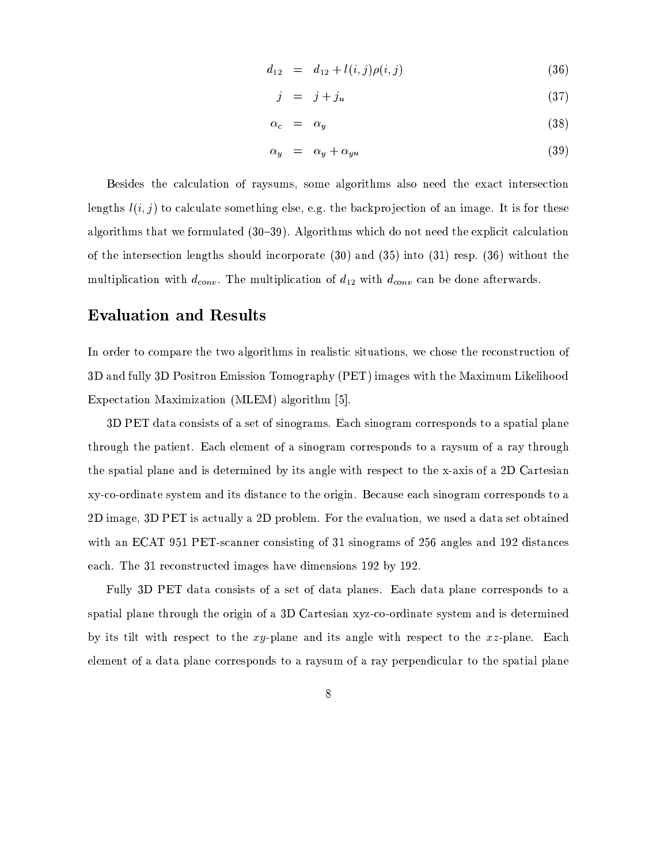$$
d_{12} = d_{12} + l(i, j)\rho(i, j) \tag{36}
$$

$$
j = j + j_u \tag{37}
$$

$$
\alpha_c = \alpha_y \tag{38}
$$

$$
\alpha_y = \alpha_y + \alpha_{yu} \tag{39}
$$

Besides the calculation of raysums, some algorithms also need the exact intersection lengths  $l(i, j)$  to calculate something else, e.g. the backprojection of an image. It is for these algorithms that we formulated  $(30-39)$ . Algorithms which do not need the explicit calculation of the intersection lengths should incorporate  $(30)$  and  $(35)$  into  $(31)$  resp.  $(36)$  without the multiplication with  $d_{conv}$ . The multiplication of  $d_{12}$  with  $d_{conv}$  can be done afterwards.

#### **Evaluation and Results**

In order to compare the two algorithms in realistic situations, we chose the reconstruction of 3D and fully 3D Positron Emission Tomography (PET) images with the Maximum Likelihood Expectation Maximization (MLEM) algorithm [5].

3D PET data consists of a set of sinograms. Each sinogram corresponds to a spatial plane through the patient. Each element of a sinogram corresponds to a raysum of a ray through the spatial plane and is determined by its angle with respect to the x-axis of a 2D Cartesian xy-co-ordinate system and its distance to the origin. Because each sinogram corresponds to a 2D image, 3D PET is actually a 2D problem. For the evaluation, we used a data set obtained with an ECAT 951 PET-scanner consisting of 31 sinograms of 256 angles and 192 distances each. The 31 reconstructed images have dimensions 192 by 192.

Fully 3D PET data consists of a set of data planes. Each data plane corresponds to a spatial plane through the origin of a 3D Cartesian xyz-co-ordinate system and is determined by its tilt with respect to the xy-plane and its angle with respect to the xz-plane. Each element of a data plane corresponds to a raysum of a ray perpendicular to the spatial plane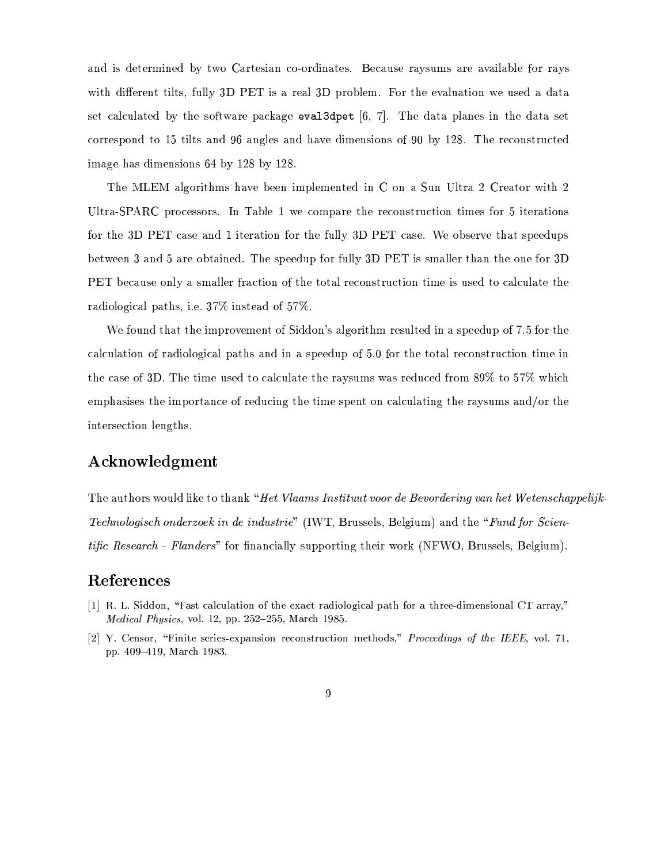and is determined by two Cartesian co-ordinates. Because raysums are available for rays with different tilts, fully 3D PET is a real 3D problem. For the evaluation we used a data set calculated by the software package evaluate  $[6, 7]$ . The data planes in the data set correspond to 15 tilts and 96 angles and have dimensions of 90 by 128. The reconstructed image has dimensions 64 by 128 by 128.

The MLEM algorithms have been implemented in C on a Sun Ultra 2 Creator with 2 Ultra-SPARC processors. In Table 1 we compare the reconstruction times for 5 iterations for the 3D PET case and 1 iteration for the fully 3D PET case. We observe that speedups between 3 and 5 are obtained. The speedup for fully 3D PET is smaller than the one for 3D PET because only a smaller fraction of the total reconstruction time is used to calculate the radiological paths, i.e. 37% instead of 57%.

We found that the improvement of Siddon's algorithm resulted in a speedup of 7.5 for the calculation of radiological paths and in a speedup of 5.0 for the total reconstruction time in the case of 3D. The time used to calculate the raysums was reduced from 89% to 57% which emphasises the importance of reducing the time spent on calculating the raysums and/or the intersection lengths.

#### Acknowledgment

The authors would like to thank "Het Vlaams Instituut voor de Bevordering van het Wetenschappelijk-*Technologisch onderzoek in de industrie*" (IWT, Brussels, Belgium) and the "Fund for Scien*tific Research - Flanders*" for financially supporting their work (NFWO, Brussels, Belgium).

#### References

- [1] R. L. Siddon, "Fast calculation of the exact radiological path for a three-dimensional CT array," Medical Physics, vol. 12, pp. 252-255, March 1985.
- [2] Y. Censor, "Finite series-expansion reconstruction methods," *Proceedings of the IEEE*, vol. 71, pp. 409-419, March 1983.
	- $\overline{9}$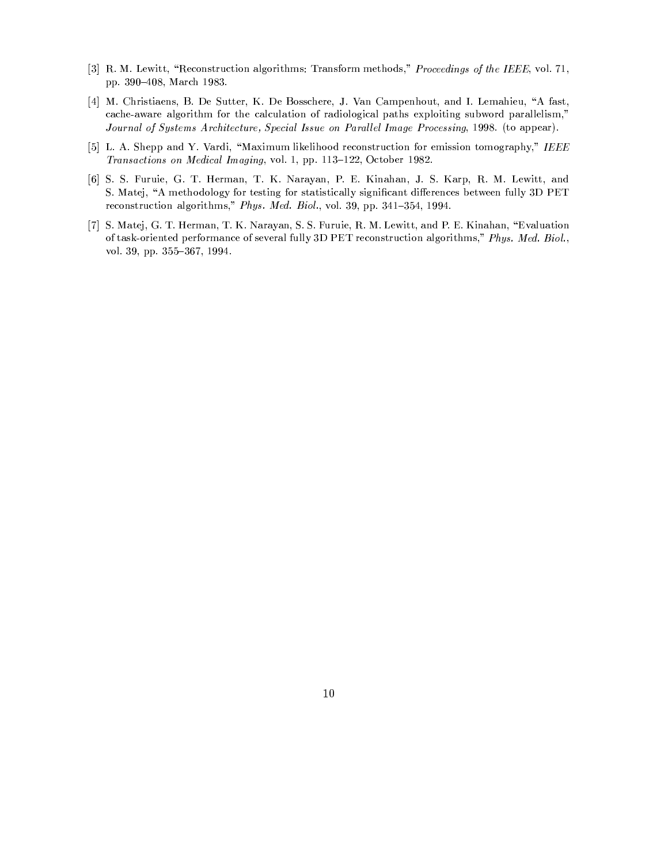- [3] R. M. Lewitt, "Reconstruction algorithms: Transform methods," Proceedings of the IEEE, vol. 71, pp. 390-408, March 1983.
- [4] M. Christiaens, B. De Sutter, K. De Bosschere, J. Van Campenhout, and I. Lemahieu, "A fast, cache-aware algorithm for the calculation of radiological paths exploiting subword parallelism," Journal of Systems Architecture, Special Issue on Parallel Image Processing, 1998. (to appear).
- [5] L. A. Shepp and Y. Vardi, "Maximum likelihood reconstruction for emission tomography," IEEE Transactions on Medical Imaging, vol. 1, pp. 113-122, October 1982.
- [6] S. S. Furuie, G. T. Herman, T. K. Narayan, P. E. Kinahan, J. S. Karp, R. M. Lewitt, and S. Matej, "A methodology for testing for statistically significant differences between fully 3D PET reconstruction algorithms," Phys. Med. Biol., vol. 39, pp. 341-354, 1994.
- [7] S. Matej, G. T. Herman, T. K. Narayan, S. S. Furuie, R. M. Lewitt, and P. E. Kinahan, "Evaluation of task-oriented performance of several fully 3D PET reconstruction algorithms," Phys. Med. Biol., vol. 39, pp. 355-367, 1994.

 $10$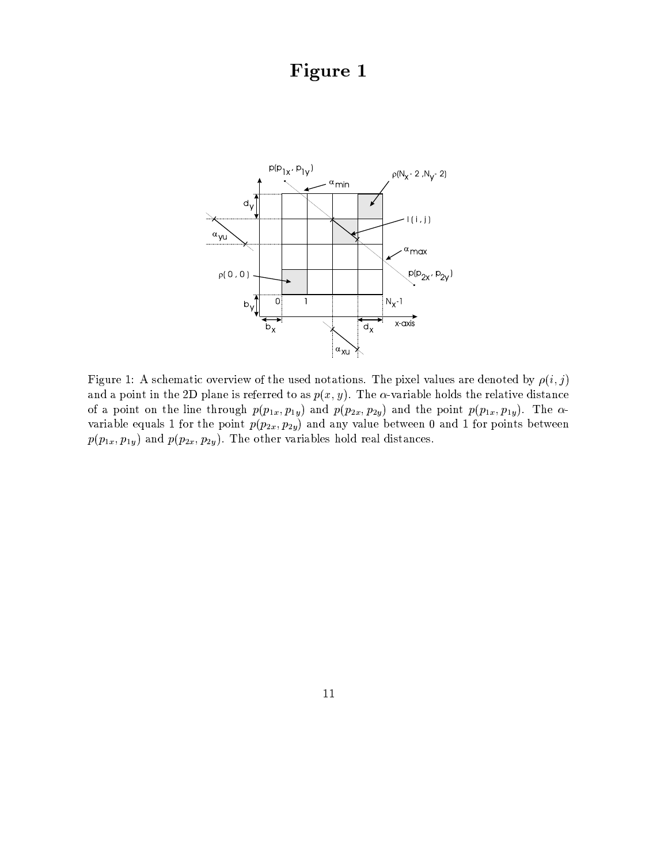# Figure 1



Figure 1: A schematic overview of the used notations. The pixel values are denoted by  $\rho(i, j)$ and a point in the 2D plane is referred to as  $p(x, y)$ . The  $\alpha$ -variable holds the relative distance of a point on the line through  $p(p_{1x}, p_{1y})$  and  $p(p_{2x}, p_{2y})$  and the point  $p(p_{1x}, p_{1y})$ . The  $\alpha$ variable equals 1 for the point  $p(p_{2x}, p_{2y})$  and any value between 0 and 1 for points between  $p(p_{1x}, p_{1y})$  and  $p(p_{2x}, p_{2y})$ . The other variables hold real distances.

#### 11